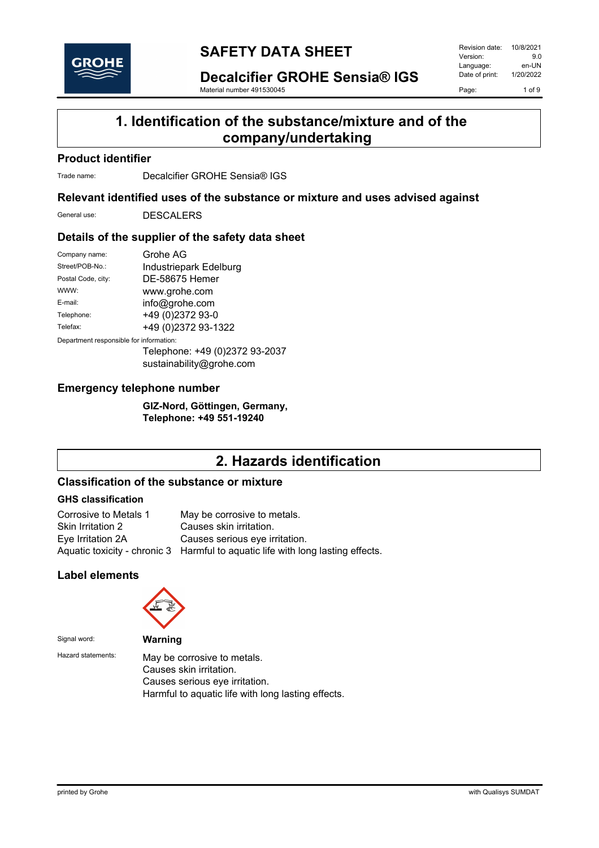

**Decalcifier GROHE Sensia® IGS**

Material number 491530045

Revision date: 10/8/2021<br>Version: 9.0 Version: 9.0<br>
Language: en-UN Language: en-UN<br>Date of print: 1/20/2022 Date of print: Page: 1 of 9

### **1. Identification of the substance/mixture and of the company/undertaking**

### **Product identifier**

Trade name: Decalcifier GROHE Sensia® IGS

### **Relevant identified uses of the substance or mixture and uses advised against**

General use: DESCALERS

### **Details of the supplier of the safety data sheet**

| Company name:                           | Grohe AG                                                   |
|-----------------------------------------|------------------------------------------------------------|
| Street/POB-No.:                         | Industriepark Edelburg                                     |
| Postal Code, city:                      | DE-58675 Hemer                                             |
| WWW:                                    | www.grohe.com                                              |
| E-mail:                                 | info@grohe.com                                             |
| Telephone:                              | +49 (0)2372 93-0                                           |
| Telefax:                                | +49 (0)2372 93-1322                                        |
| Department responsible for information: |                                                            |
|                                         | Telephone: +49 (0)2372 93-2037<br>sustainability@grohe.com |

### **Emergency telephone number**

**GIZ-Nord, Göttingen, Germany, Telephone: +49 551-19240**

# **2. Hazards identification**

### **Classification of the substance or mixture**

### **GHS classification**

| Corrosive to Metals 1 | May be corrosive to metals.                                                     |
|-----------------------|---------------------------------------------------------------------------------|
| Skin Irritation 2     | Causes skin irritation.                                                         |
| Eye Irritation 2A     | Causes serious eve irritation.                                                  |
|                       | Aquatic toxicity - chronic 3 Harmful to aquatic life with long lasting effects. |

### **Label elements**



Signal word: **Warning**

Hazard statements: May be corrosive to metals. Causes skin irritation. Causes serious eye irritation. Harmful to aquatic life with long lasting effects.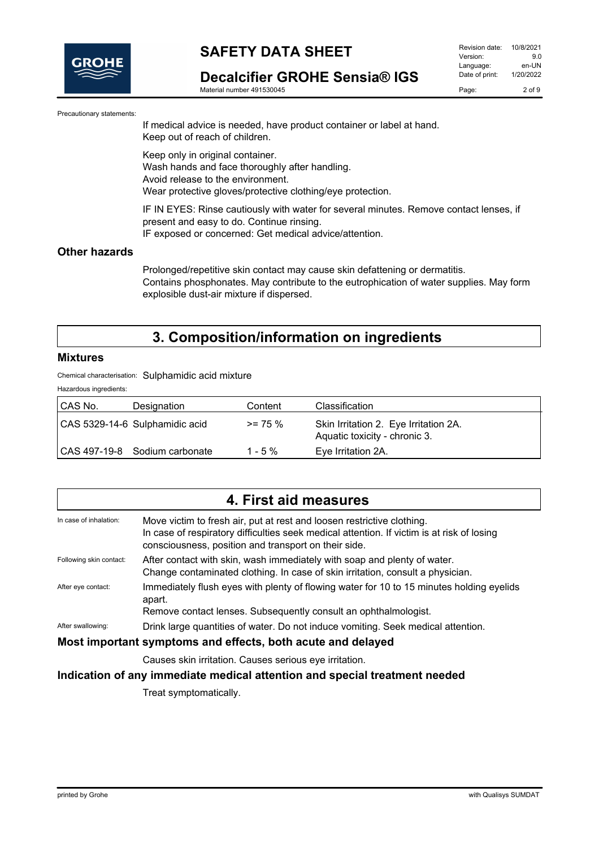

**Decalcifier GROHE Sensia® IGS**

Material number 491530045

| 9 O        |
|------------|
| en-UN      |
| 1/20/2022  |
| $2$ of $9$ |
|            |

Precautionary statements:

If medical advice is needed, have product container or label at hand. Keep out of reach of children.

Keep only in original container. Wash hands and face thoroughly after handling. Avoid release to the environment. Wear protective gloves/protective clothing/eye protection.

IF IN EYES: Rinse cautiously with water for several minutes. Remove contact lenses, if present and easy to do. Continue rinsing. IF exposed or concerned: Get medical advice/attention.

### **Other hazards**

Prolonged/repetitive skin contact may cause skin defattening or dermatitis. Contains phosphonates. May contribute to the eutrophication of water supplies. May form explosible dust-air mixture if dispersed.

## **3. Composition/information on ingredients**

#### **Mixtures**

Chemical characterisation: Sulphamidic acid mixture

Hazardous ingredients:

| CAS No. | Designation                    | Content    | <b>Classification</b>                                                  |
|---------|--------------------------------|------------|------------------------------------------------------------------------|
|         | CAS 5329-14-6 Sulphamidic acid | $>= 75 \%$ | Skin Irritation 2. Eye Irritation 2A.<br>Aquatic toxicity - chronic 3. |
|         | ICAS 497-19-8 Sodium carbonate | $1 - 5 \%$ | Eye Irritation 2A.                                                     |

|                         | 4. First aid measures                                                                                                                                                                                                        |
|-------------------------|------------------------------------------------------------------------------------------------------------------------------------------------------------------------------------------------------------------------------|
| In case of inhalation:  | Move victim to fresh air, put at rest and loosen restrictive clothing.<br>In case of respiratory difficulties seek medical attention. If victim is at risk of losing<br>consciousness, position and transport on their side. |
| Following skin contact: | After contact with skin, wash immediately with soap and plenty of water.<br>Change contaminated clothing. In case of skin irritation, consult a physician.                                                                   |
| After eye contact:      | Immediately flush eyes with plenty of flowing water for 10 to 15 minutes holding eyelids<br>apart.<br>Remove contact lenses. Subsequently consult an ophthalmologist.                                                        |
| After swallowing:       | Drink large quantities of water. Do not induce vomiting. Seek medical attention.                                                                                                                                             |
|                         | Most important symptoms and effects, both acute and delayed                                                                                                                                                                  |
|                         | Causes skin irritation. Causes serious eye irritation.                                                                                                                                                                       |
|                         | Indication of any immediate medical attention and special treatment needed                                                                                                                                                   |

Treat symptomatically.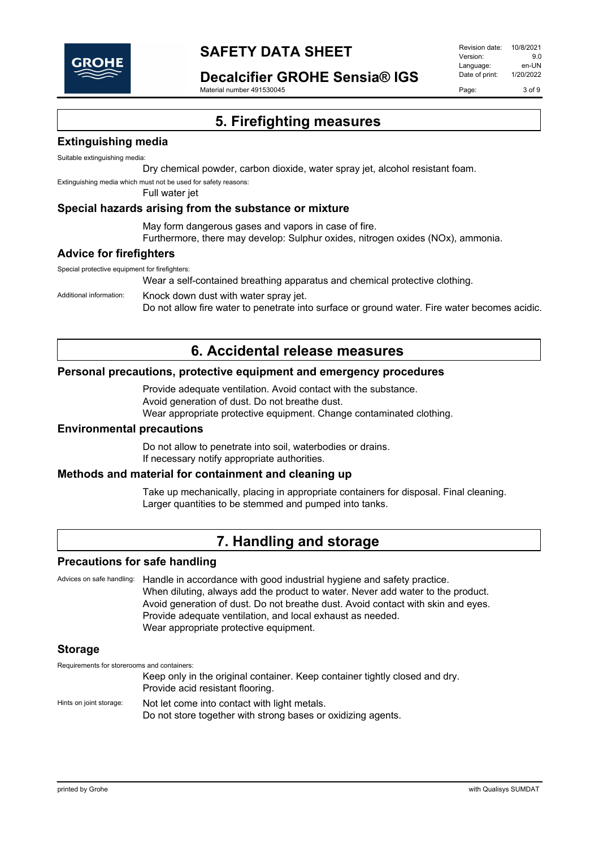

**Decalcifier GROHE Sensia® IGS**

Material number 491530045

Revision date: 10/8/2021 Version: 9.0 Language: en-UN<br>Date of print: 1/20/2022 Date of print: Page: 3 of 9

**5. Firefighting measures**

### **Extinguishing media**

Suitable extinguishing media:

Dry chemical powder, carbon dioxide, water spray jet, alcohol resistant foam.

Extinguishing media which must not be used for safety reasons:

Full water jet

#### **Special hazards arising from the substance or mixture**

May form dangerous gases and vapors in case of fire.

Furthermore, there may develop: Sulphur oxides, nitrogen oxides (NOx), ammonia.

#### **Advice for firefighters**

Special protective equipment for firefighters:

Wear a self-contained breathing apparatus and chemical protective clothing.

Additional information: Knock down dust with water spray jet.

Do not allow fire water to penetrate into surface or ground water. Fire water becomes acidic.

## **6. Accidental release measures**

### **Personal precautions, protective equipment and emergency procedures**

Provide adequate ventilation. Avoid contact with the substance. Avoid generation of dust. Do not breathe dust. Wear appropriate protective equipment. Change contaminated clothing.

#### **Environmental precautions**

Do not allow to penetrate into soil, waterbodies or drains. If necessary notify appropriate authorities.

#### **Methods and material for containment and cleaning up**

Take up mechanically, placing in appropriate containers for disposal. Final cleaning. Larger quantities to be stemmed and pumped into tanks.

### **7. Handling and storage**

#### **Precautions for safe handling**

Advices on safe handling: Handle in accordance with good industrial hygiene and safety practice. When diluting, always add the product to water. Never add water to the product. Avoid generation of dust. Do not breathe dust. Avoid contact with skin and eyes. Provide adequate ventilation, and local exhaust as needed. Wear appropriate protective equipment.

### **Storage**

Requirements for storerooms and containers:

Keep only in the original container. Keep container tightly closed and dry. Provide acid resistant flooring. Hints on joint storage: Not let come into contact with light metals.

Do not store together with strong bases or oxidizing agents.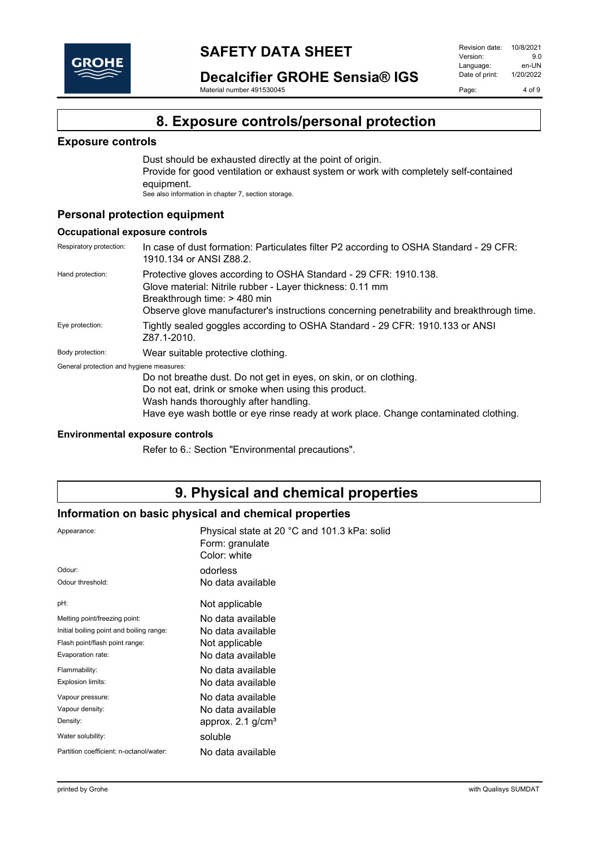

**Decalcifier GROHE Sensia® IGS**

Material number 491530045

### **8. Exposure controls/personal protection**

### **Exposure controls**

Dust should be exhausted directly at the point of origin. Provide for good ventilation or exhaust system or work with completely self-contained equipment. See also information in chapter 7, section storage.

### **Personal protection equipment**

#### **Occupational exposure controls**

Respiratory protection: In case of dust formation: Particulates filter P2 according to OSHA Standard - 29 CFR: 1910.134 or ANSI Z88.2. Hand protection: Protective gloves according to OSHA Standard - 29 CFR: 1910.138. Glove material: Nitrile rubber - Layer thickness: 0.11 mm Breakthrough time: > 480 min Observe glove manufacturer's instructions concerning penetrability and breakthrough time. Eye protection: Tightly sealed goggles according to OSHA Standard - 29 CFR: 1910.133 or ANSI Z87.1-2010. Body protection: Wear suitable protective clothing. General protection and hygiene measures: Do not breathe dust. Do not get in eyes, on skin, or on clothing. Do not eat, drink or smoke when using this product. Wash hands thoroughly after handling. Have eye wash bottle or eye rinse ready at work place. Change contaminated clothing.

### **Environmental exposure controls**

Refer to 6.: Section "Environmental precautions".

### **9. Physical and chemical properties**

### **Information on basic physical and chemical properties**

| Physical state at 20 °C and 101.3 kPa: solid<br>Form: granulate<br>Color: white |
|---------------------------------------------------------------------------------|
| odorless                                                                        |
| No data available                                                               |
| Not applicable                                                                  |
| No data available                                                               |
| No data available                                                               |
| Not applicable                                                                  |
| No data available                                                               |
| No data available                                                               |
| No data available                                                               |
| No data available                                                               |
| No data available                                                               |
| approx. $2.1$ g/cm <sup>3</sup>                                                 |
| soluble                                                                         |
| No data available                                                               |
|                                                                                 |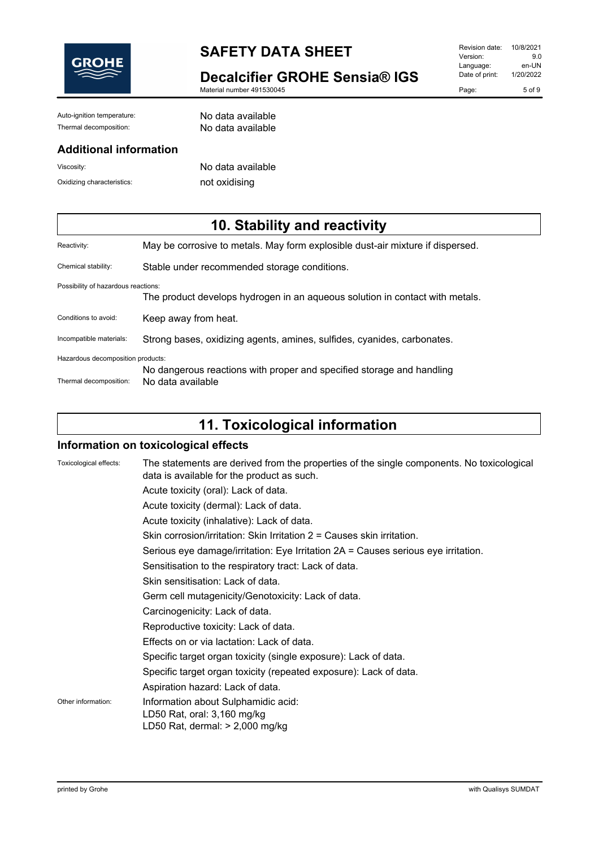

**Decalcifier GROHE Sensia® IGS**

Material number 491530045

| Revision date: | 10/8/2021 |
|----------------|-----------|
| Version:       | 9.0       |
| Language:      | en-UN     |
| Date of print: | 1/20/2022 |
| Page:          | $5$ of 9  |

Auto-ignition temperature: No data available Thermal decomposition: No data available

### **Additional information**

Viscosity: No data available Oxidizing characteristics: not oxidising

# **10. Stability and reactivity**

| Reactivity:                         | May be corrosive to metals. May form explosible dust-air mixture if dispersed. |
|-------------------------------------|--------------------------------------------------------------------------------|
| Chemical stability:                 | Stable under recommended storage conditions.                                   |
| Possibility of hazardous reactions: |                                                                                |
|                                     | The product develops hydrogen in an aqueous solution in contact with metals.   |
| Conditions to avoid:                | Keep away from heat.                                                           |
| Incompatible materials:             | Strong bases, oxidizing agents, amines, sulfides, cyanides, carbonates.        |
| Hazardous decomposition products:   |                                                                                |
|                                     | No dangerous reactions with proper and specified storage and handling          |
| Thermal decomposition:              | No data available                                                              |

# **11. Toxicological information**

### **Information on toxicological effects**

| Toxicological effects: | The statements are derived from the properties of the single components. No toxicological<br>data is available for the product as such.<br>Acute toxicity (oral): Lack of data.<br>Acute toxicity (dermal): Lack of data.<br>Acute toxicity (inhalative): Lack of data.<br>Skin corrosion/irritation: Skin Irritation $2 =$ Causes skin irritation.<br>Serious eye damage/irritation: Eye Irritation 2A = Causes serious eye irritation.<br>Sensitisation to the respiratory tract: Lack of data.<br>Skin sensitisation: Lack of data.<br>Germ cell mutagenicity/Genotoxicity: Lack of data.<br>Carcinogenicity: Lack of data.<br>Reproductive toxicity: Lack of data.<br>Effects on or via lactation: Lack of data.<br>Specific target organ toxicity (single exposure): Lack of data. |
|------------------------|-----------------------------------------------------------------------------------------------------------------------------------------------------------------------------------------------------------------------------------------------------------------------------------------------------------------------------------------------------------------------------------------------------------------------------------------------------------------------------------------------------------------------------------------------------------------------------------------------------------------------------------------------------------------------------------------------------------------------------------------------------------------------------------------|
|                        | Specific target organ toxicity (repeated exposure): Lack of data.<br>Aspiration hazard: Lack of data.                                                                                                                                                                                                                                                                                                                                                                                                                                                                                                                                                                                                                                                                                   |
| Other information:     | Information about Sulphamidic acid:<br>LD50 Rat, oral: 3,160 mg/kg<br>LD50 Rat, dermal: $> 2,000$ mg/kg                                                                                                                                                                                                                                                                                                                                                                                                                                                                                                                                                                                                                                                                                 |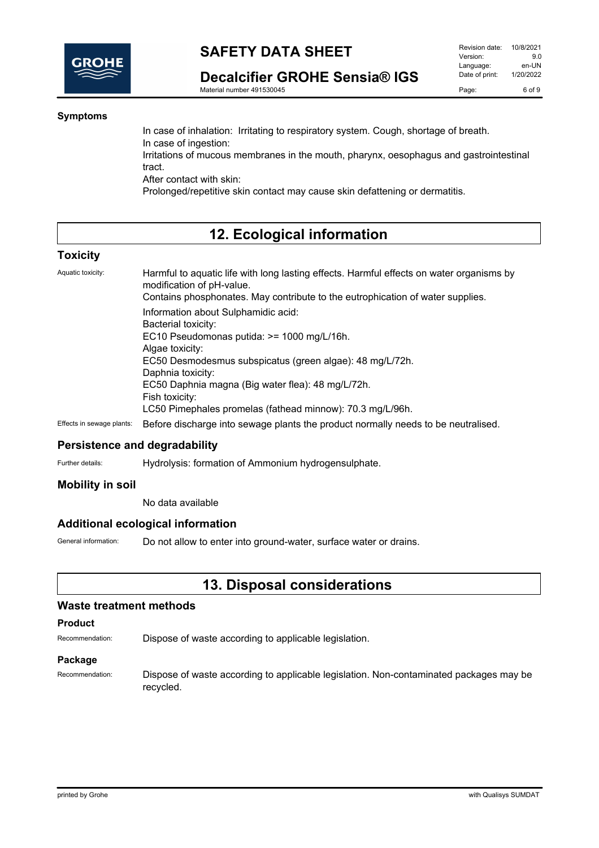

**Decalcifier GROHE Sensia® IGS**

Material number 491530045

### **Symptoms**

In case of inhalation: Irritating to respiratory system. Cough, shortage of breath. In case of ingestion: Irritations of mucous membranes in the mouth, pharynx, oesophagus and gastrointestinal tract. After contact with skin: Prolonged/repetitive skin contact may cause skin defattening or dermatitis.

### **12. Ecological information**

### **Toxicity**

Aquatic toxicity: Harmful to aquatic life with long lasting effects. Harmful effects on water organisms by modification of pH-value.

Contains phosphonates. May contribute to the eutrophication of water supplies. Information about Sulphamidic acid: Bacterial toxicity: EC10 Pseudomonas putida: >= 1000 mg/L/16h. Algae toxicity: EC50 Desmodesmus subspicatus (green algae): 48 mg/L/72h. Daphnia toxicity: EC50 Daphnia magna (Big water flea): 48 mg/L/72h. Fish toxicity: LC50 Pimephales promelas (fathead minnow): 70.3 mg/L/96h. Effects in sewage plants: Before discharge into sewage plants the product normally needs to be neutralised.

### **Persistence and degradability**

Further details: **Hydrolysis: formation of Ammonium hydrogensulphate.** 

### **Mobility in soil**

No data available

### **Additional ecological information**

General information: Do not allow to enter into ground-water, surface water or drains.

### **13. Disposal considerations**

#### **Waste treatment methods**

#### **Product**

Recommendation: Dispose of waste according to applicable legislation.

#### **Package**

Recommendation: Dispose of waste according to applicable legislation. Non-contaminated packages may be recycled.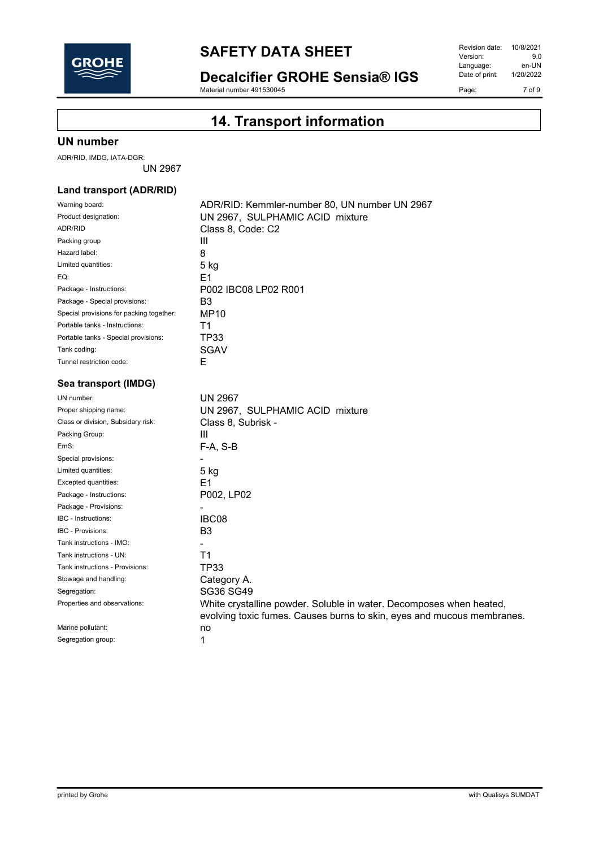

**Decalcifier GROHE Sensia® IGS**

Material number 491530045

Revision date: 10/8/2021<br>Version: 9.0 Version: 9.0<br>
Language: en-UN Language: en-UN<br>Date of print: 1/20/2022 Date of print: Page: 7 of 9

# **14. Transport information**

### **UN number**

ADR/RID, IMDG, IATA-DGR:

UN 2967

### **Land transport (ADR/RID)**

| Warning board:                           | ADR/RID: Kemmler-number 80, UN number UN 2967                          |
|------------------------------------------|------------------------------------------------------------------------|
| Product designation:                     | UN 2967, SULPHAMIC ACID mixture                                        |
| <b>ADR/RID</b>                           | Class 8, Code: C2                                                      |
| Packing group                            | Ш                                                                      |
| Hazard label:                            | 8                                                                      |
| Limited quantities:                      | 5 kg                                                                   |
| EQ:                                      | F1                                                                     |
| Package - Instructions:                  | P002 IBC08 LP02 R001                                                   |
| Package - Special provisions:            | B <sub>3</sub>                                                         |
| Special provisions for packing together: | <b>MP10</b>                                                            |
| Portable tanks - Instructions:           | T1                                                                     |
| Portable tanks - Special provisions:     | <b>TP33</b>                                                            |
| Tank coding:                             | SGAV                                                                   |
| Tunnel restriction code:                 | E                                                                      |
| Sea transport (IMDG)                     |                                                                        |
| UN number:                               | <b>UN 2967</b>                                                         |
| Proper shipping name:                    | UN 2967, SULPHAMIC ACID mixture                                        |
| Class or division, Subsidary risk:       | Class 8, Subrisk -                                                     |
| Packing Group:                           | Ш                                                                      |
| EmS:                                     | $F-A, S-B$                                                             |
| Special provisions:                      |                                                                        |
| Limited quantities:                      | 5 kg                                                                   |
| Excepted quantities:                     | F1                                                                     |
| Package - Instructions:                  | P002, LP02                                                             |
| Package - Provisions:                    |                                                                        |
| IBC - Instructions:                      | IBC08                                                                  |
| IBC - Provisions:                        | B <sub>3</sub>                                                         |
| Tank instructions - IMO:                 |                                                                        |
| Tank instructions - UN:                  | T <sub>1</sub>                                                         |
| Tank instructions - Provisions:          | <b>TP33</b>                                                            |
| Stowage and handling:                    | Category A.                                                            |
| Segregation:                             | SG36 SG49                                                              |
| Properties and observations:             | White crystalline powder. Soluble in water. Decomposes when heated,    |
|                                          | evolving toxic fumes. Causes burns to skin, eyes and mucous membranes. |
| Marine pollutant:                        | no                                                                     |
| Segregation group:                       | 1                                                                      |
|                                          |                                                                        |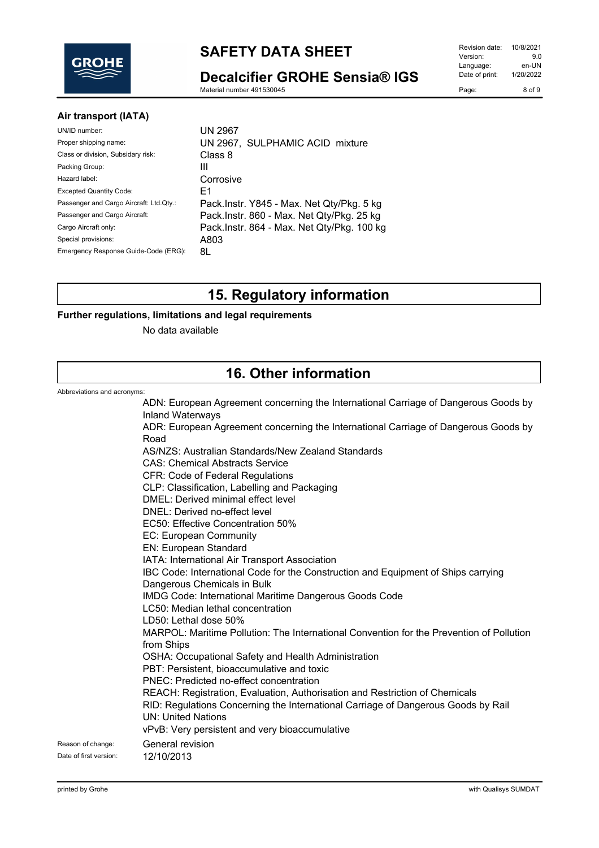

**Decalcifier GROHE Sensia® IGS**

Material number 491530045

### **Air transport (IATA)**

| UN 2967                                    |
|--------------------------------------------|
| UN 2967, SULPHAMIC ACID mixture            |
| Class 8                                    |
| Ш                                          |
| Corrosive                                  |
| F1                                         |
| Pack.Instr. Y845 - Max. Net Qty/Pkg. 5 kg  |
| Pack.Instr. 860 - Max. Net Qty/Pkg. 25 kg  |
| Pack.Instr. 864 - Max. Net Qty/Pkg. 100 kg |
| A803                                       |
| 8L                                         |
|                                            |

# **15. Regulatory information**

### **Further regulations, limitations and legal requirements**

No data available

## **16. Other information**

Abbreviations and

| Abbreviations and acronyms: |                                                                                                                |
|-----------------------------|----------------------------------------------------------------------------------------------------------------|
|                             | ADN: European Agreement concerning the International Carriage of Dangerous Goods by<br><b>Inland Waterways</b> |
|                             | ADR: European Agreement concerning the International Carriage of Dangerous Goods by                            |
|                             | Road                                                                                                           |
|                             | AS/NZS: Australian Standards/New Zealand Standards                                                             |
|                             | <b>CAS: Chemical Abstracts Service</b>                                                                         |
|                             | <b>CFR: Code of Federal Regulations</b>                                                                        |
|                             | CLP: Classification, Labelling and Packaging                                                                   |
|                             | DMEL: Derived minimal effect level                                                                             |
|                             | DNEL: Derived no-effect level                                                                                  |
|                             | EC50: Effective Concentration 50%<br>EC: European Community                                                    |
|                             | EN: European Standard                                                                                          |
|                             | IATA: International Air Transport Association                                                                  |
|                             | IBC Code: International Code for the Construction and Equipment of Ships carrying                              |
|                             | Dangerous Chemicals in Bulk                                                                                    |
|                             | IMDG Code: International Maritime Dangerous Goods Code                                                         |
|                             | LC50: Median lethal concentration                                                                              |
|                             | LD50: Lethal dose 50%                                                                                          |
|                             | MARPOL: Maritime Pollution: The International Convention for the Prevention of Pollution<br>from Ships         |
|                             | OSHA: Occupational Safety and Health Administration                                                            |
|                             | PBT: Persistent, bioaccumulative and toxic                                                                     |
|                             | PNEC: Predicted no-effect concentration                                                                        |
|                             | REACH: Registration, Evaluation, Authorisation and Restriction of Chemicals                                    |
|                             | RID: Regulations Concerning the International Carriage of Dangerous Goods by Rail<br><b>UN: United Nations</b> |
|                             | vPvB: Very persistent and very bioaccumulative                                                                 |
| Reason of change:           | General revision                                                                                               |
| Date of first version:      | 12/10/2013                                                                                                     |